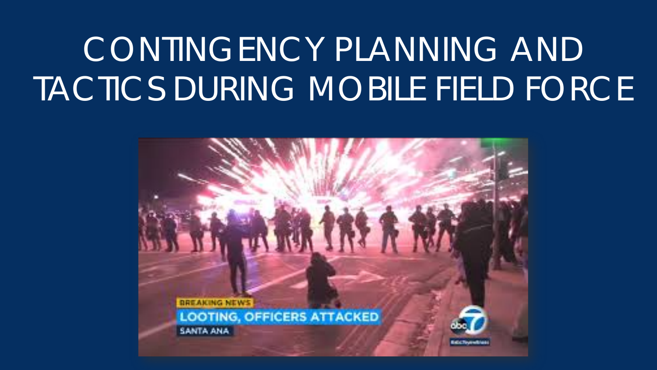# CONTINGENCY PLANNING AND TACTICS DURING MOBILE FIELD FORCE

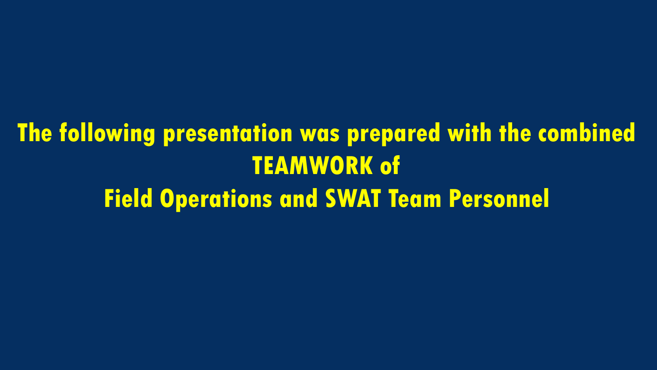## **The following presentation was prepared with the combined TEAMWORK of Field Operations and SWAT Team Personnel**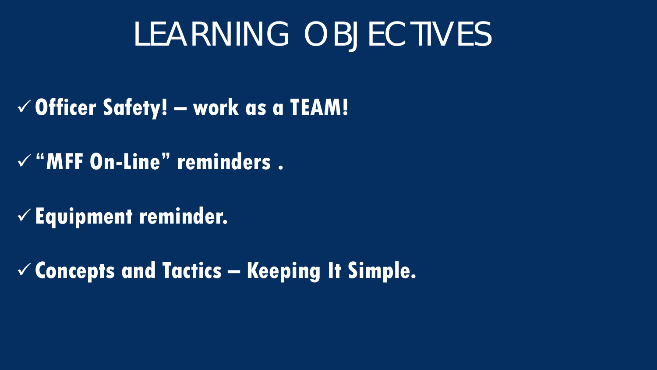## LEARNING OBJECTIVES

- **Officer Safety! – work as a TEAM!**
- **"MFF On-Line" reminders .**
- **Equipment reminder.**
- **Concepts and Tactics – Keeping It Simple.**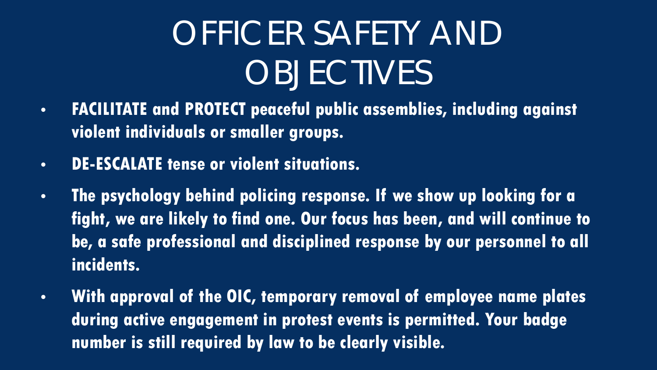# OFFICER SAFETY AND **OBJECTIVES**

- **FACILITATE and PROTECT peaceful public assemblies, including against violent individuals or smaller groups.**
- **DE-ESCALATE tense or violent situations.**
- **The psychology behind policing response. If we show up looking for a fight, we are likely to find one. Our focus has been, and will continue to be, a safe professional and disciplined response by our personnel to all incidents.**
- **With approval of the OIC, temporary removal of employee name plates during active engagement in protest events is permitted. Your badge number is still required by law to be clearly visible.**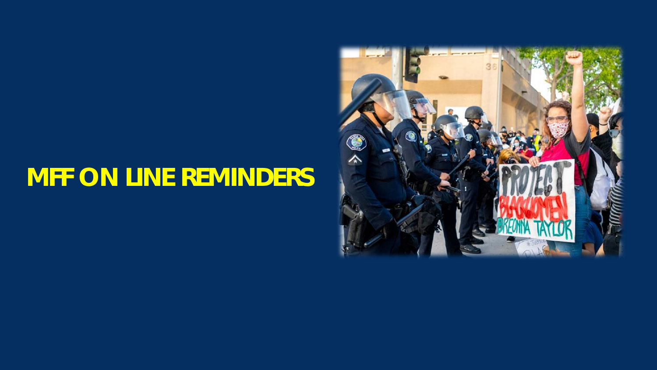#### **MFF ON LINE REMINDERS**

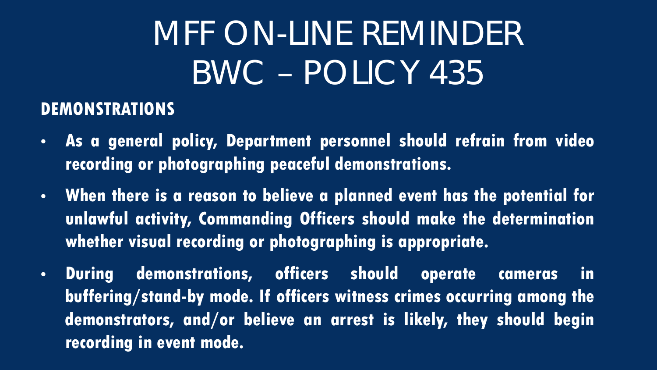# MFF ON-LINE REMINDER BWC – POLICY 435

#### **DEMONSTRATIONS**

- **As a general policy, Department personnel should refrain from video recording or photographing peaceful demonstrations.**
- **When there is a reason to believe a planned event has the potential for unlawful activity, Commanding Officers should make the determination whether visual recording or photographing is appropriate.**
- **During demonstrations, officers should operate cameras in buffering/stand-by mode. If officers witness crimes occurring among the demonstrators, and/or believe an arrest is likely, they should begin recording in event mode.**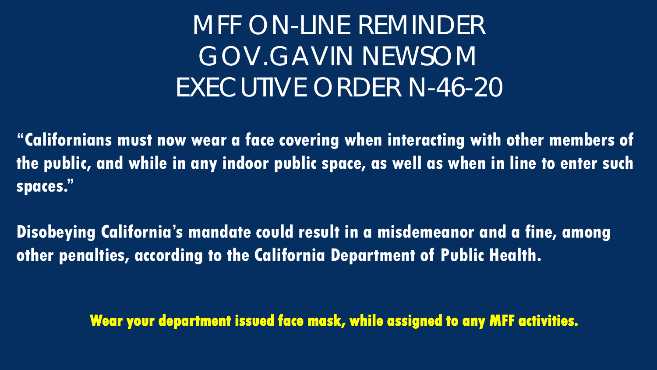### MFF ON-LINE REMINDER GOV.GAVIN NEWSOM EXECUTIVE ORDER N-46-20

**"Californians must now wear a face covering when interacting with other members of the public, and while in any indoor public space, as well as when in line to enter such spaces."**

**Disobeying California's mandate could result in a misdemeanor and a fine, among other penalties, according to the California Department of Public Health.**

**Wear your department issued face mask, while assigned to any MFF activities.**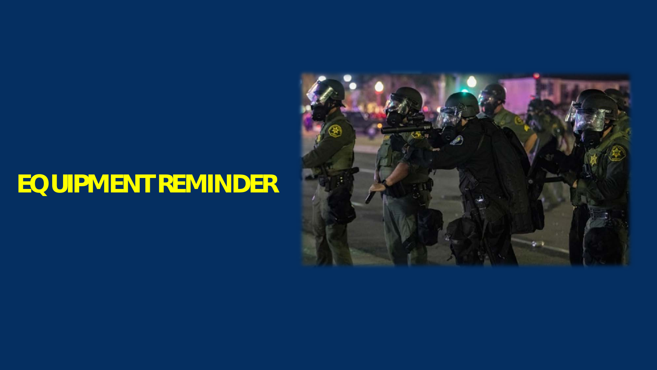#### **EQUIPMENT REMINDER**

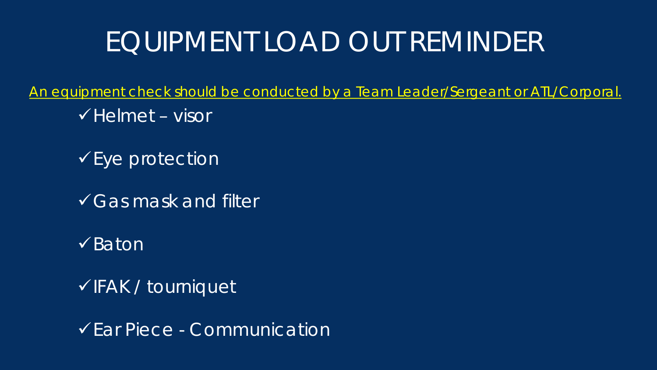### EQUIPMENT LOAD OUT REMINDER

An equipment check should be conducted by a Team Leader/Sergeant or ATL/Corporal.

- $\checkmark$  Helmet visor
- $\checkmark$  Eye protection
- Gas mask and filter
- $\checkmark$ Baton
- $\checkmark$  FAK / tourniquet

Ear Piece - Communication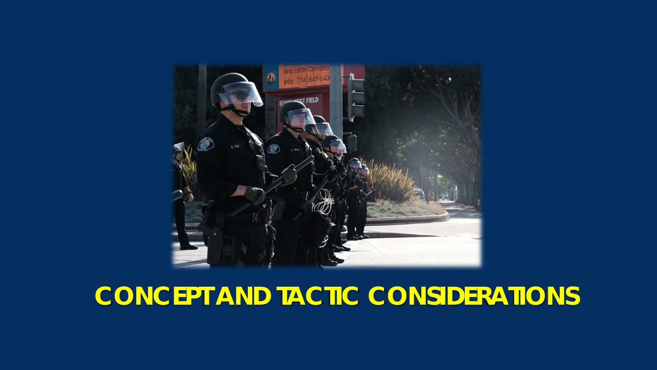

#### **CONCEPT AND TACTIC CONSIDERATIONS**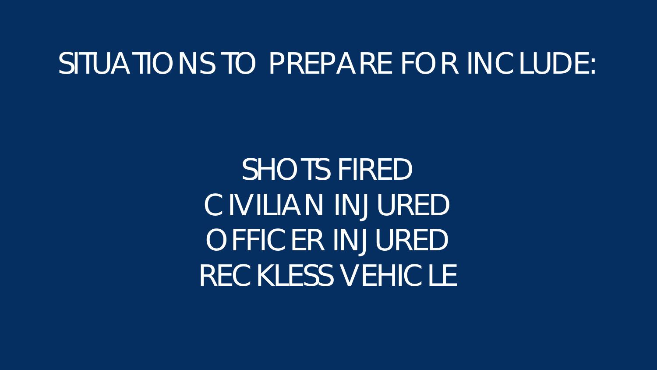### SITUATIONS TO PREPARE FOR INCLUDE:

SHOTS FIRED CIVILIAN INJURED OFFICER INJURED RECKLESS VEHICLE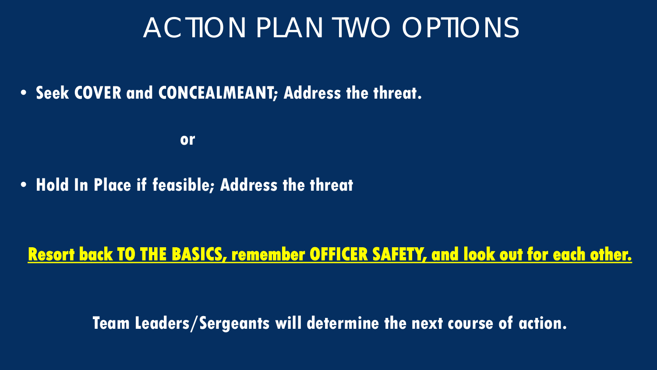#### ACTION PLAN TWO OPTIONS

• **Seek COVER and CONCEALMEANT; Address the threat.**

**or**

• **Hold In Place if feasible; Address the threat**

#### **Resort back TO THE BASICS, remember OFFICER SAFETY, and look out for each other.**

**Team Leaders/Sergeants will determine the next course of action.**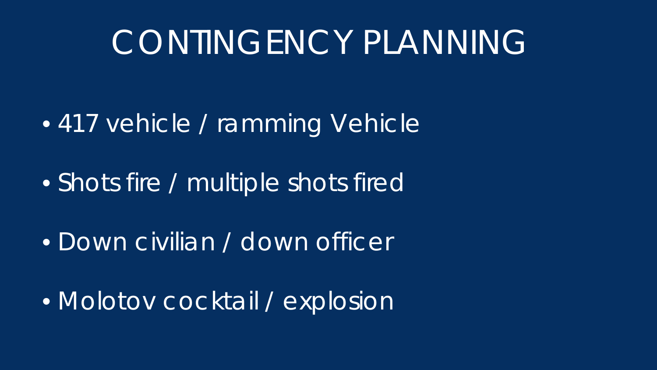## CONTINGENCY PLANNING

- 417 vehicle / ramming Vehicle
- Shots fire / multiple shots fired
- Down civilian / down officer
- Molotov cocktail / explosion